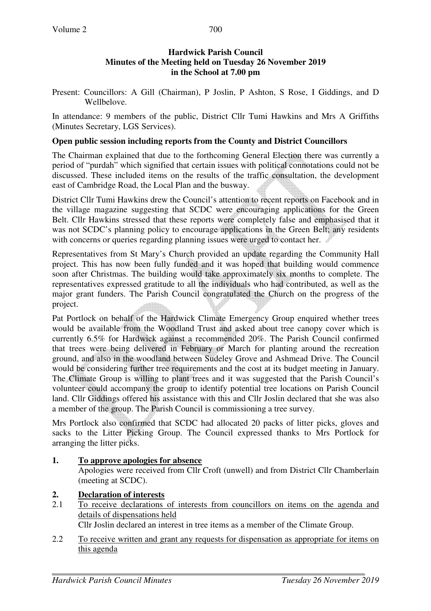Present: Councillors: A Gill (Chairman), P Joslin, P Ashton, S Rose, I Giddings, and D Wellbelove.

In attendance: 9 members of the public, District Cllr Tumi Hawkins and Mrs A Griffiths (Minutes Secretary, LGS Services).

## **Open public session including reports from the County and District Councillors**

The Chairman explained that due to the forthcoming General Election there was currently a period of "purdah" which signified that certain issues with political connotations could not be discussed. These included items on the results of the traffic consultation, the development east of Cambridge Road, the Local Plan and the busway.

District Cllr Tumi Hawkins drew the Council's attention to recent reports on Facebook and in the village magazine suggesting that SCDC were encouraging applications for the Green Belt. Cllr Hawkins stressed that these reports were completely false and emphasised that it was not SCDC's planning policy to encourage applications in the Green Belt; any residents with concerns or queries regarding planning issues were urged to contact her.

Representatives from St Mary's Church provided an update regarding the Community Hall project. This has now been fully funded and it was hoped that building would commence soon after Christmas. The building would take approximately six months to complete. The representatives expressed gratitude to all the individuals who had contributed, as well as the major grant funders. The Parish Council congratulated the Church on the progress of the project.

Pat Portlock on behalf of the Hardwick Climate Emergency Group enquired whether trees would be available from the Woodland Trust and asked about tree canopy cover which is currently 6.5% for Hardwick against a recommended 20%. The Parish Council confirmed that trees were being delivered in February or March for planting around the recreation ground, and also in the woodland between Sudeley Grove and Ashmead Drive. The Council would be considering further tree requirements and the cost at its budget meeting in January. The Climate Group is willing to plant trees and it was suggested that the Parish Council's volunteer could accompany the group to identify potential tree locations on Parish Council land. Cllr Giddings offered his assistance with this and Cllr Joslin declared that she was also a member of the group. The Parish Council is commissioning a tree survey.

Mrs Portlock also confirmed that SCDC had allocated 20 packs of litter picks, gloves and sacks to the Litter Picking Group. The Council expressed thanks to Mrs Portlock for arranging the litter picks.

# **1. To approve apologies for absence**

Apologies were received from Cllr Croft (unwell) and from District Cllr Chamberlain (meeting at SCDC).

# **2. Declaration of interests**

2.1 To receive declarations of interests from councillors on items on the agenda and details of dispensations held

Cllr Joslin declared an interest in tree items as a member of the Climate Group.

2.2 To receive written and grant any requests for dispensation as appropriate for items on this agenda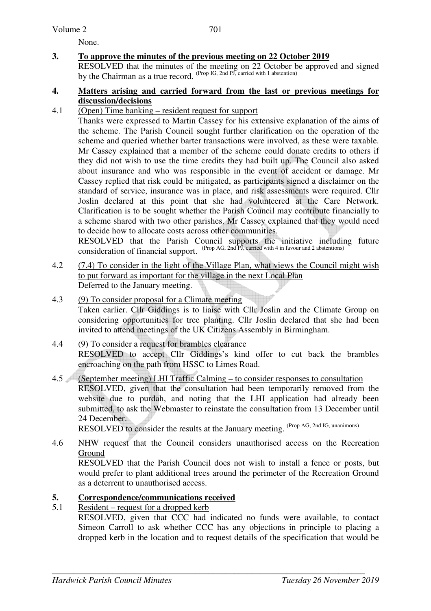#### Volume 2

None.

**3. To approve the minutes of the previous meeting on 22 October 2019** 

 RESOLVED that the minutes of the meeting on 22 October be approved and signed by the Chairman as a true record. (Prop IG, 2nd PJ, carried with 1 abstention)

#### **4. Matters arising and carried forward from the last or previous meetings for discussion/decisions**

#### 4.1 (Open) Time banking – resident request for support

 Thanks were expressed to Martin Cassey for his extensive explanation of the aims of the scheme. The Parish Council sought further clarification on the operation of the scheme and queried whether barter transactions were involved, as these were taxable. Mr Cassey explained that a member of the scheme could donate credits to others if they did not wish to use the time credits they had built up. The Council also asked about insurance and who was responsible in the event of accident or damage. Mr Cassey replied that risk could be mitigated, as participants signed a disclaimer on the standard of service, insurance was in place, and risk assessments were required. Cllr Joslin declared at this point that she had volunteered at the Care Network. Clarification is to be sought whether the Parish Council may contribute financially to a scheme shared with two other parishes. Mr Cassey explained that they would need to decide how to allocate costs across other communities.

RESOLVED that the Parish Council supports the initiative including future consideration of financial support. <sup>(Prop AG, 2nd PJ, carried with 4 in favour and 2 abstentions)</sup>

4.2 (7.4) To consider in the light of the Village Plan, what views the Council might wish to put forward as important for the village in the next Local Plan Deferred to the January meeting.

#### 4.3 (9) To consider proposal for a Climate meeting

Taken earlier. Cllr Giddings is to liaise with Cllr Joslin and the Climate Group on considering opportunities for tree planting. Cllr Joslin declared that she had been invited to attend meetings of the UK Citizens Assembly in Birmingham.

#### 4.4 (9) To consider a request for brambles clearance RESOLVED to accept Cllr Giddings's kind offer to cut back the brambles encroaching on the path from HSSC to Limes Road.

4.5 (September meeting) LHI Traffic Calming – to consider responses to consultation RESOLVED, given that the consultation had been temporarily removed from the website due to purdah, and noting that the LHI application had already been submitted, to ask the Webmaster to reinstate the consultation from 13 December until 24 December.

RESOLVED to consider the results at the January meeting. (Prop AG, 2nd IG, unanimous)

4.6 NHW request that the Council considers unauthorised access on the Recreation Ground

 RESOLVED that the Parish Council does not wish to install a fence or posts, but would prefer to plant additional trees around the perimeter of the Recreation Ground as a deterrent to unauthorised access.

### **5. Correspondence/communications received**

#### 5.1 Resident – request for a dropped kerb

RESOLVED, given that CCC had indicated no funds were available, to contact Simeon Carroll to ask whether CCC has any objections in principle to placing a dropped kerb in the location and to request details of the specification that would be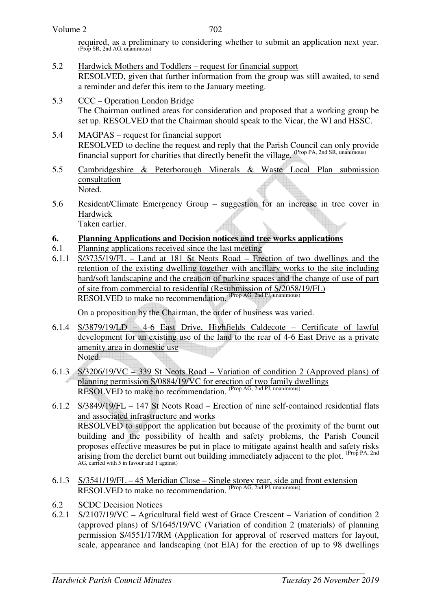| Volume 2 |  |
|----------|--|
|----------|--|

702

required, as a preliminary to considering whether to submit an application next year. (Prop SR, 2nd AG, unanimous)

- 5.2 Hardwick Mothers and Toddlers request for financial support RESOLVED, given that further information from the group was still awaited, to send a reminder and defer this item to the January meeting.
- 5.3 CCC Operation London Bridge The Chairman outlined areas for consideration and proposed that a working group be set up. RESOLVED that the Chairman should speak to the Vicar, the WI and HSSC.
- 5.4 MAGPAS request for financial support RESOLVED to decline the request and reply that the Parish Council can only provide financial support for charities that directly benefit the village. (Prop PA, 2nd SR, unanimous)
- 5.5 Cambridgeshire & Peterborough Minerals & Waste Local Plan submission consultation Noted.
- 5.6 Resident/Climate Emergency Group suggestion for an increase in tree cover in Hardwick Taken earlier.

## **6. Planning Applications and Decision notices and tree works applications**

- 6.1 Planning applications received since the last meeting
- 6.1.1 S/3735/19/FL Land at 181 St Neots Road Erection of two dwellings and the retention of the existing dwelling together with ancillary works to the site including hard/soft landscaping and the creation of parking spaces and the change of use of part of site from commercial to residential (Resubmission of S/2058/19/FL) RESOLVED to make no recommendation. (Prop AG, 2nd PJ, unanimous)

On a proposition by the Chairman, the order of business was varied.

- 6.1.4 S/3879/19/LD 4-6 East Drive, Highfields Caldecote Certificate of lawful development for an existing use of the land to the rear of 4-6 East Drive as a private amenity area in domestic use Noted.
- 6.1.3 S/3206/19/VC 339 St Neots Road Variation of condition 2 (Approved plans) of planning permission S/0884/19/VC for erection of two family dwellings RESOLVED to make no recommendation. (Prop AG, 2nd PJ, unanimous)
- 6.1.2 S/3849/19/FL 147 St Neots Road Erection of nine self-contained residential flats and associated infrastructure and works RESOLVED to support the application but because of the proximity of the burnt out building and the possibility of health and safety problems, the Parish Council proposes effective measures be put in place to mitigate against health and safety risks arising from the derelict burnt out building immediately adjacent to the plot. <sup>(Prop PA, 2nd</sup>) AG, carried with 5 in favour and 1 against)
- 6.1.3 S/3541/19/FL 45 Meridian Close Single storey rear, side and front extension RESOLVED to make no recommendation. (Prop AG, 2nd PJ, unanimous)
- 6.2 SCDC Decision Notices
- 6.2.1 S/2107/19/VC Agricultural field west of Grace Crescent Variation of condition 2 (approved plans) of S/1645/19/VC (Variation of condition 2 (materials) of planning permission S/4551/17/RM (Application for approval of reserved matters for layout, scale, appearance and landscaping (not EIA) for the erection of up to 98 dwellings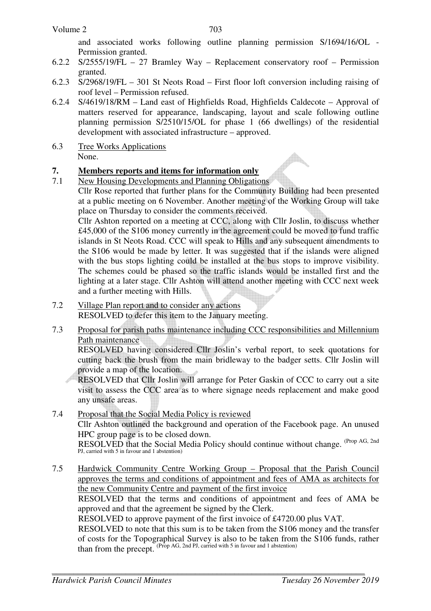#### Volume 2

and associated works following outline planning permission S/1694/16/OL - Permission granted.

- 6.2.2 S/2555/19/FL 27 Bramley Way Replacement conservatory roof Permission granted.
- 6.2.3 S/2968/19/FL 301 St Neots Road First floor loft conversion including raising of roof level – Permission refused.
- 6.2.4 S/4619/18/RM Land east of Highfields Road, Highfields Caldecote Approval of matters reserved for appearance, landscaping, layout and scale following outline planning permission S/2510/15/OL for phase 1 (66 dwellings) of the residential development with associated infrastructure – approved.
- 6.3 Tree Works Applications None.

## **7. Members reports and items for information only**

7.1 New Housing Developments and Planning Obligations

Cllr Rose reported that further plans for the Community Building had been presented at a public meeting on 6 November. Another meeting of the Working Group will take place on Thursday to consider the comments received.

Cllr Ashton reported on a meeting at CCC, along with Cllr Joslin, to discuss whether £45,000 of the S106 money currently in the agreement could be moved to fund traffic islands in St Neots Road. CCC will speak to Hills and any subsequent amendments to the S106 would be made by letter. It was suggested that if the islands were aligned with the bus stops lighting could be installed at the bus stops to improve visibility. The schemes could be phased so the traffic islands would be installed first and the lighting at a later stage. Cllr Ashton will attend another meeting with CCC next week and a further meeting with Hills.

- 7.2 Village Plan report and to consider any actions RESOLVED to defer this item to the January meeting.
- 7.3 Proposal for parish paths maintenance including CCC responsibilities and Millennium Path maintenance

 RESOLVED having considered Cllr Joslin's verbal report, to seek quotations for cutting back the brush from the main bridleway to the badger setts. Cllr Joslin will provide a map of the location.

RESOLVED that Cllr Joslin will arrange for Peter Gaskin of CCC to carry out a site visit to assess the CCC area as to where signage needs replacement and make good any unsafe areas.

- 7.4 Proposal that the Social Media Policy is reviewed Cllr Ashton outlined the background and operation of the Facebook page. An unused HPC group page is to be closed down. RESOLVED that the Social Media Policy should continue without change. <sup>(Prop AG, 2nd</sup> PJ, carried with 5 in favour and 1 abstention)
- 7.5 Hardwick Community Centre Working Group Proposal that the Parish Council approves the terms and conditions of appointment and fees of AMA as architects for the new Community Centre and payment of the first invoice

RESOLVED that the terms and conditions of appointment and fees of AMA be approved and that the agreement be signed by the Clerk.

RESOLVED to approve payment of the first invoice of £4720.00 plus VAT.

RESOLVED to note that this sum is to be taken from the S106 money and the transfer of costs for the Topographical Survey is also to be taken from the S106 funds, rather than from the precept. (Prop AG, 2nd PJ, carried with 5 in favour and 1 abstention)